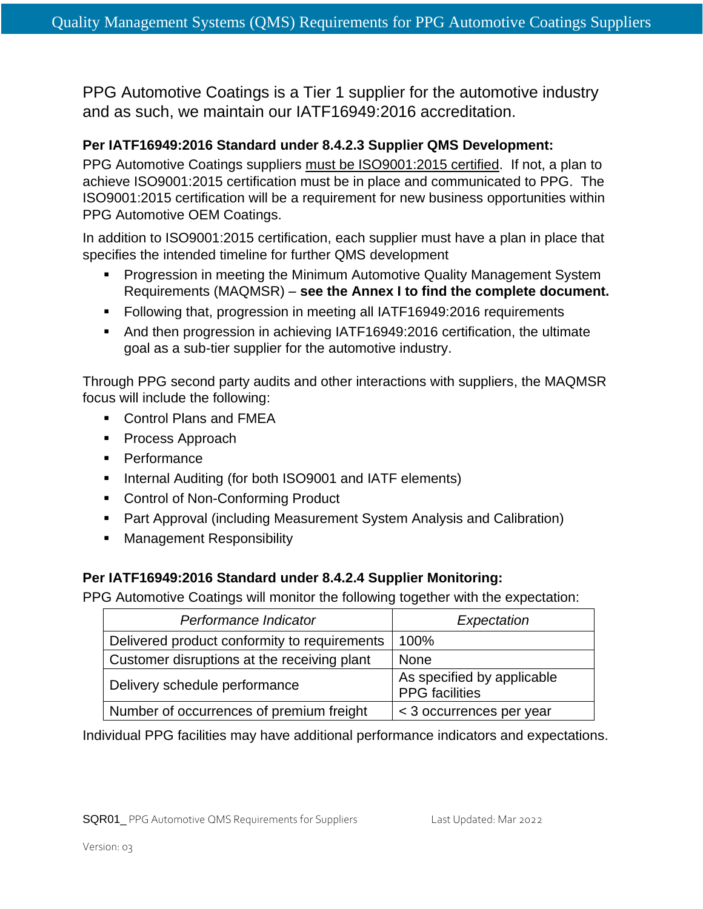PPG Automotive Coatings is a Tier 1 supplier for the automotive industry and as such, we maintain our IATF16949:2016 accreditation.

## **Per IATF16949:2016 Standard under 8.4.2.3 Supplier QMS Development:**

PPG Automotive Coatings suppliers must be ISO9001:2015 certified. If not, a plan to achieve ISO9001:2015 certification must be in place and communicated to PPG. The ISO9001:2015 certification will be a requirement for new business opportunities within PPG Automotive OEM Coatings.

In addition to ISO9001:2015 certification, each supplier must have a plan in place that specifies the intended timeline for further QMS development

- **Progression in meeting the Minimum Automotive Quality Management System** Requirements (MAQMSR) – **see the Annex I to find the complete document.**
- Following that, progression in meeting all IATF16949:2016 requirements
- And then progression in achieving IATF16949:2016 certification, the ultimate goal as a sub-tier supplier for the automotive industry.

Through PPG second party audits and other interactions with suppliers, the MAQMSR focus will include the following:

- Control Plans and FMEA
- Process Approach
- Performance
- Internal Auditing (for both ISO9001 and IATF elements)
- Control of Non-Conforming Product
- Part Approval (including Measurement System Analysis and Calibration)
- Management Responsibility

## **Per IATF16949:2016 Standard under 8.4.2.4 Supplier Monitoring:**

PPG Automotive Coatings will monitor the following together with the expectation:

| Performance Indicator                        | Expectation                                         |
|----------------------------------------------|-----------------------------------------------------|
| Delivered product conformity to requirements | 100%                                                |
| Customer disruptions at the receiving plant  | None                                                |
| Delivery schedule performance                | As specified by applicable<br><b>PPG</b> facilities |
| Number of occurrences of premium freight     | < 3 occurrences per year                            |

Individual PPG facilities may have additional performance indicators and expectations.